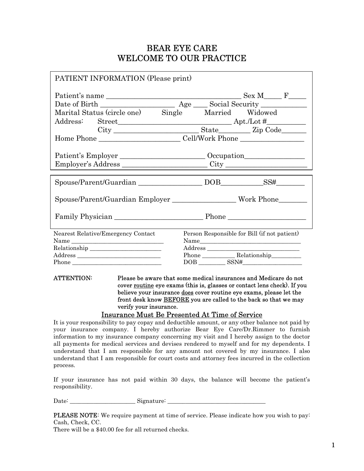## BEAR EYE CARE WELCOME TO OUR PRACTICE

| <b>PATIENT INFORMATION</b> (Please print)          |                                                                            |
|----------------------------------------------------|----------------------------------------------------------------------------|
|                                                    |                                                                            |
|                                                    |                                                                            |
| Marital Status (circle one) Single Married Widowed |                                                                            |
|                                                    |                                                                            |
|                                                    |                                                                            |
|                                                    |                                                                            |
|                                                    |                                                                            |
|                                                    |                                                                            |
|                                                    |                                                                            |
|                                                    |                                                                            |
|                                                    |                                                                            |
|                                                    | Spouse/Parent/Guardian Employer ______________________Work Phone__________ |
|                                                    |                                                                            |
|                                                    |                                                                            |
|                                                    |                                                                            |
| Nearest Relative/Emergency Contact                 | Person Responsible for Bill (if not patient)                               |
|                                                    | Name                                                                       |
|                                                    |                                                                            |
|                                                    |                                                                            |
|                                                    | $\text{DOB} \_\_\_\_\_$                                                    |
|                                                    |                                                                            |

ATTENTION: Please be aware that some medical insurances and Medicare do not cover routine eye exams (this is, glasses or contact lens check). If you believe your insurance does cover routine eye exams, please let the front desk know **BEFORE** you are called to the back so that we may verify your insurance.

#### Insurance Must Be Presented At Time of Service

It is your responsibility to pay copay and deductible amount, or any other balance not paid by your insurance company. I hereby authorize Bear Eye Care/Dr.Rimmer to furnish information to my insurance company concerning my visit and I hereby assign to the doctor all payments for medical services and devises rendered to myself and for my dependents. I understand that I am responsible for any amount not covered by my insurance. I also understand that I am responsible for court costs and attorney fees incurred in the collection process.

If your insurance has not paid within 30 days, the balance will become the patient's responsibility.

Date: \_\_\_\_\_\_\_\_\_\_\_\_\_\_\_\_\_\_\_\_\_\_ Signature: \_\_\_\_\_\_\_\_\_\_\_\_\_\_\_\_\_\_\_\_\_\_\_\_\_\_\_\_\_\_\_\_\_

PLEASE NOTE: We require payment at time of service. Please indicate how you wish to pay: Cash, Check, CC.

There will be a \$40.00 fee for all returned checks.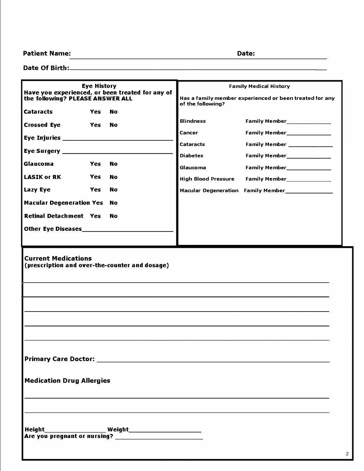Patient Name: **Date: Date: Date: Date: Date: Date: Date: Date: Date: Date: Date: Date: Date: Date: Date: Date: Date: Date: Date: Date: Date: Date: Date: Date: Date: Date:**

**Date Of Birth: \_\_\_\_\_\_\_\_\_\_\_\_\_\_\_\_\_\_\_\_\_\_\_\_\_\_\_\_\_\_\_ \_** 

| <b>Eye History</b><br>Have you experienced, or been treated for any of                                           | <b>Family Medical History</b> |                                                         |
|------------------------------------------------------------------------------------------------------------------|-------------------------------|---------------------------------------------------------|
| the following? PLEASE ANSWER ALL                                                                                 | of the following?             | Has a family member experienced or been treated for any |
| <b>Cataracts</b><br>Yes<br>No.                                                                                   |                               |                                                         |
| <b>Crossed Eye</b><br>Yes<br>No.                                                                                 | <b>Blindness</b>              | Family Member______________                             |
|                                                                                                                  | Cancer                        | Family Member______________                             |
|                                                                                                                  | Cataracts                     | Family Member                                           |
| Yes<br>Glaucoma                                                                                                  | <b>Diabetes</b>               | Family Member_______________                            |
| No.                                                                                                              | <b>Glaucoma</b>               | Family Member                                           |
| <b>LASIK or RK</b><br>Yes<br><b>No</b>                                                                           | <b>High Blood Pressure</b>    | Family Member________________                           |
| <b>Lazy Eye</b><br>Yes<br>No.                                                                                    |                               | Macular Degeneration Family Member______________        |
| <b>Macular Degeneration Yes</b><br>No.                                                                           |                               |                                                         |
| <b>Retinal Detachment Yes</b><br>No                                                                              |                               |                                                         |
|                                                                                                                  |                               |                                                         |
|                                                                                                                  |                               |                                                         |
| <b>Current Medications</b><br>(prescription and over-the-counter and dosage)<br><b>Medication Drug Allergies</b> |                               |                                                         |
|                                                                                                                  |                               |                                                         |
|                                                                                                                  |                               |                                                         |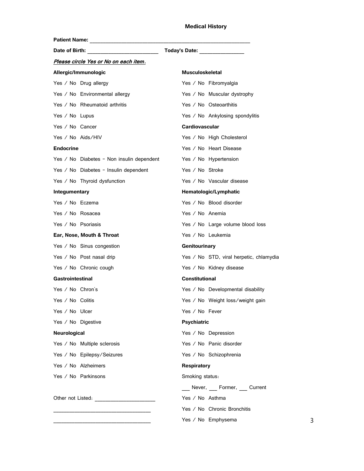#### **Medical History**

| Patient Name: ___________________         |                                         |
|-------------------------------------------|-----------------------------------------|
| Date of Birth: ________________________   | Today's Date: _____________             |
| Please circle Yes or No on each item.     |                                         |
| Allergic/Immunologic                      | <b>Musculoskeletal</b>                  |
| Yes / No Drug allergy                     | Yes / No Fibromyalgia                   |
| Yes / No Environmental allergy            | Yes / No Muscular dystrophy             |
| Yes / No Rheumatoid arthritis             | Yes / No Osteoarthitis                  |
| Yes / No Lupus                            | Yes / No Ankylosing spondylitis         |
| Yes / No Cancer                           | <b>Cardiovascular</b>                   |
| Yes / No Aids/HIV                         | Yes / No High Cholesterol               |
| <b>Endocrine</b>                          | Yes / No Heart Disease                  |
| Yes / No Diabetes - Non insulin dependent | Yes / No Hypertension                   |
| Yes / No Diabetes - Insulin dependent     | Yes / No Stroke                         |
| Yes / No Thyroid dysfunction              | Yes / No Vascular disease               |
| Integumentary                             | Hematologic/Lymphatic                   |
| Yes / No Eczema                           | Yes / No Blood disorder                 |
| Yes / No Rosacea                          | Yes / No Anemia                         |
| Yes / No Psoriasis                        | Yes / No Large volume blood loss        |
| Ear, Nose, Mouth & Throat                 | Yes / No Leukemia                       |
| Yes / No Sinus congestion                 | Genitourinary                           |
| Yes / No Post nasal drip                  | Yes / No STD, viral herpetic, chlamydia |
| Yes / No Chronic cough                    | Yes / No Kidney disease                 |
| Gastrointestinal                          | <b>Constitutional</b>                   |
| Yes / $No$ Chron's                        | Yes / No Developmental disability       |
| Yes $\angle$ No Colitis                   | Yes / No Weight loss/weight gain        |
| Yes / No Ulcer                            | Yes / No Fever                          |
| Yes / No Digestive                        | <b>Psychiatric</b>                      |
| Neurological                              | Yes / No Depression                     |
| Yes / No Multiple sclerosis               | Yes / No Panic disorder                 |
| Yes / No Epilepsy/Seizures                | Yes / No Schizophrenia                  |
| Yes / No Alzheimers                       | <b>Respiratory</b>                      |
| Yes / No Parkinsons                       | Smoking status:                         |
|                                           | Never, Former, Current                  |
|                                           | Yes / No Asthma                         |
|                                           | Yes / No Chronic Bronchitis             |
|                                           | Yes / No Emphysema                      |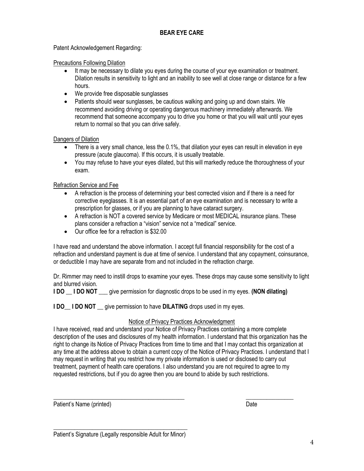#### BEAR EYE CARE

Patent Acknowledgement Regarding:

Precautions Following Dilation

- It may be necessary to dilate you eyes during the course of your eye examination or treatment. Dilation results in sensitivity to light and an inability to see well at close range or distance for a few hours.
- We provide free disposable sunglasses
- Patients should wear sunglasses, be cautious walking and going up and down stairs. We recommend avoiding driving or operating dangerous machinery immediately afterwards. We recommend that someone accompany you to drive you home or that you will wait until your eyes return to normal so that you can drive safely.

Dangers of Dilation

- There is a very small chance, less the 0.1%, that dilation your eyes can result in elevation in eye pressure (acute glaucoma). If this occurs, it is usually treatable.
- You may refuse to have your eyes dilated, but this will markedly reduce the thoroughness of your exam.

Refraction Service and Fee

- A refraction is the process of determining your best corrected vision and if there is a need for corrective eyeglasses. It is an essential part of an eye examination and is necessary to write a prescription for glasses, or if you are planning to have cataract surgery.
- A refraction is NOT a covered service by Medicare or most MEDICAL insurance plans. These plans consider a refraction a "vision" service not a "medical" service.
- Our office fee for a refraction is \$32.00

I have read and understand the above information. I accept full financial responsibility for the cost of a refraction and understand payment is due at time of service. I understand that any copayment, coinsurance, or deductible I may have are separate from and not included in the refraction charge.

Dr. Rimmer may need to instill drops to examine your eyes. These drops may cause some sensitivity to light and blurred vision.

**I DO LI DO NOT** give permission for diagnostic drops to be used in my eyes. (NON dilating)

**I DO** I DO NOT give permission to have DILATING drops used in my eyes.

#### Notice of Privacy Practices Acknowledgment

I have received, read and understand your Notice of Privacy Practices containing a more complete description of the uses and disclosures of my health information. I understand that this organization has the right to change its Notice of Privacy Practices from time to time and that I may contact this organization at any time at the address above to obtain a current copy of the Notice of Privacy Practices. I understand that I may request in writing that you restrict how my private information is used or disclosed to carry out treatment, payment of health care operations. I also understand you are not required to agree to my requested restrictions, but if you do agree then you are bound to abide by such restrictions.

\_\_\_\_\_\_\_\_\_\_\_\_\_\_\_\_\_\_\_\_\_\_\_\_\_\_\_\_\_\_\_\_\_\_\_\_\_\_\_\_\_\_\_\_ \_\_\_\_\_\_\_\_\_\_\_\_\_\_\_\_

Patient's Name (printed) Date Date Control of the Date Date Date Date Date

\_\_\_\_\_\_\_\_\_\_\_\_\_\_\_\_\_\_\_\_\_\_\_\_\_\_\_\_\_\_\_\_\_\_\_\_\_\_\_\_\_\_\_\_\_ Patient's Signature (Legally responsible Adult for Minor)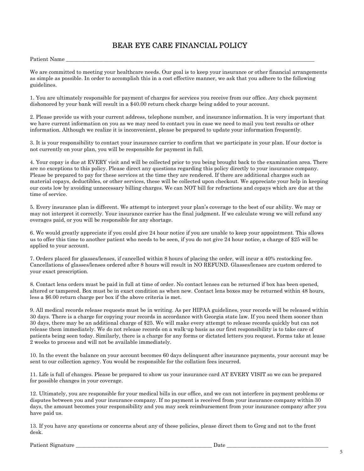### BEAR EYE CARE FINANCIAL POLICY

Patient Name

We are committed to meeting your healthcare needs. Our goal is to keep your insurance or other financial arrangements as simple as possible. In order to accomplish this in a cost effective manner, we ask that you adhere to the following guidelines.

1. You are ultimately responsible for payment of charges for services you receive from our office. Any check payment dishonored by your bank will result in a \$40.00 return check charge being added to your account.

2. Please provide us with your current address, telephone number, and insurance information. It is very important that we have current information on you as we may need to contact you in case we need to mail you test results or other information. Although we realize it is inconvenient, please be prepared to update your information frequently.

3. It is your responsibility to contact your insurance carrier to confirm that we participate in your plan. If our doctor is not currently on your plan, you will be responsible for payment in full.

4. Your copay is due at EVERY visit and will be collected prior to you being brought back to the examination area. There are no exceptions to this policy. Please direct any questions regarding this policy directly to your insurance company. Please be prepared to pay for these services at the time they are rendered. If there are additional charges such as material copays, deductibles, or other services, these will be collected upon checkout. We appreciate your help in keeping our costs low by avoiding unnecessary billing charges. We can NOT bill for refractions and copays which are due at the time of service.

5. Every insurance plan is different. We attempt to interpret your plan's coverage to the best of our ability. We may or may not interpret it correctly. Your insurance carrier has the final judgment. If we calculate wrong we will refund any overages paid, or you will be responsible for any shortage.

6. We would greatly appreciate if you could give 24 hour notice if you are unable to keep your appointment. This allows us to offer this time to another patient who needs to be seen, if you do not give 24 hour notice, a charge of \$25 will be applied to your account.

7. Orders placed for glasses/lenses, if cancelled within 8 hours of placing the order, will incur a 40% restocking fee. Cancellations of glasses/lenses ordered after 8 hours will result in NO REFUND. Glasses/lenses are custom ordered to your exact prescription.

8. Contact lens orders must be paid in full at time of order. No contact lenses can be returned if box has been opened, altered or tampered. Box must be in exact condition as when new. Contact lens boxes may be returned within 48 hours, less a \$6.00 return charge per box if the above criteria is met.

9. All medical records release requests must be in writing. As per HIPAA guidelines, your records will be released within 30 days. There is a charge for copying your records in accordance with Georgia state law. If you need them sooner than 30 days, there may be an additional charge of \$25. We will make every attempt to release records quickly but can not release them immediately. We do not release records on a walk-up basis as our first responsibility is to take care of patients being seen today. Similarly, there is a charge for any forms or dictated letters you request. Forms take at lease 2 weeks to process and will not be available immediately.

10. In the event the balance on your account becomes 60 days delinquent after insurance payments, your account may be sent to our collection agency. You would be responsible for the collation fees incurred.

11. Life is full of changes. Please be prepared to show us your insurance card AT EVERY VISIT so we can be prepared for possible changes in your coverage.

12. Ultimately, you are responsible for your medical bills in our office, and we can not interfere in payment problems or disputes between you and your insurance company. If no payment is received from your insurance company within 30 days, the amount becomes your responsibility and you may seek reimbursement from your insurance company after you have paid us.

13. If you have any questions or concerns about any of these policies, please direct them to Greg and not to the front desk.

Patient Signature \_\_\_\_\_\_\_\_\_\_\_\_\_\_\_\_\_\_\_\_\_\_\_\_\_\_\_\_\_\_\_\_\_\_\_\_\_\_\_\_\_\_\_\_\_\_\_\_\_\_\_ Date \_\_\_\_\_\_\_\_\_\_\_\_\_\_\_\_\_\_\_\_\_\_\_\_\_\_\_\_\_\_\_\_\_\_\_\_\_\_